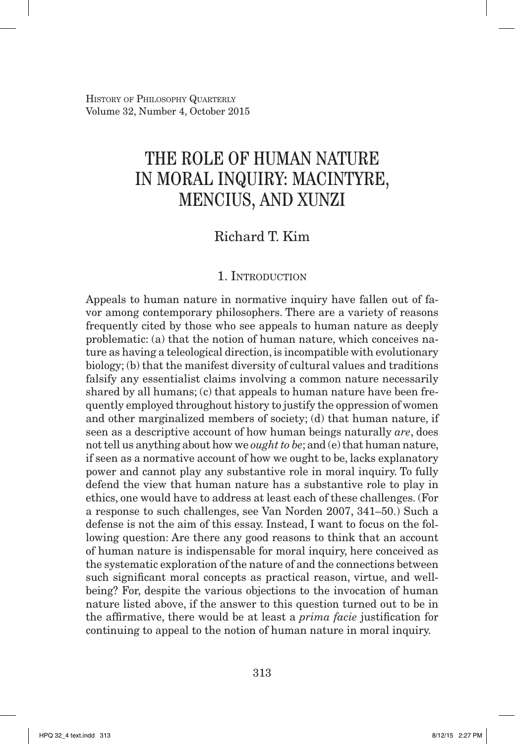History of Philosophy Quarterly Volume 32, Number 4, October 2015

# THE ROLE OF HUMAN NATURE IN MORAL INQUIRY: MACINTYRE, MENCIUS, AND XUNZI

## Richard T. Kim

## 1. INTRODUCTION

Appeals to human nature in normative inquiry have fallen out of favor among contemporary philosophers. There are a variety of reasons frequently cited by those who see appeals to human nature as deeply problematic: (a) that the notion of human nature, which conceives nature as having a teleological direction, is incompatible with evolutionary biology; (b) that the manifest diversity of cultural values and traditions falsify any essentialist claims involving a common nature necessarily shared by all humans; (c) that appeals to human nature have been frequently employed throughout history to justify the oppression of women and other marginalized members of society; (d) that human nature, if seen as a descriptive account of how human beings naturally *are*, does not tell us anything about how we *ought to be*; and (e) that human nature, if seen as a normative account of how we ought to be, lacks explanatory power and cannot play any substantive role in moral inquiry. To fully defend the view that human nature has a substantive role to play in ethics, one would have to address at least each of these challenges. (For a response to such challenges, see Van Norden 2007, 341–50.) Such a defense is not the aim of this essay. Instead, I want to focus on the following question: Are there any good reasons to think that an account of human nature is indispensable for moral inquiry, here conceived as the systematic exploration of the nature of and the connections between such significant moral concepts as practical reason, virtue, and wellbeing? For, despite the various objections to the invocation of human nature listed above, if the answer to this question turned out to be in the affirmative, there would be at least a *prima facie* justification for continuing to appeal to the notion of human nature in moral inquiry.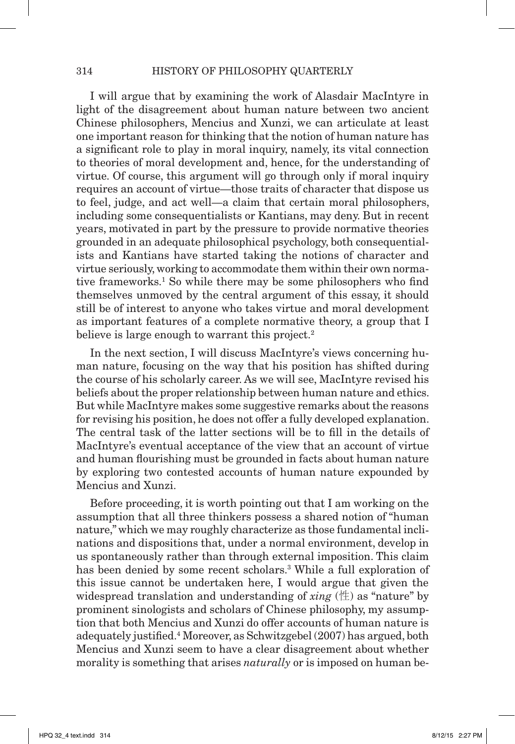I will argue that by examining the work of Alasdair MacIntyre in light of the disagreement about human nature between two ancient Chinese philosophers, Mencius and Xunzi, we can articulate at least one important reason for thinking that the notion of human nature has a significant role to play in moral inquiry, namely, its vital connection to theories of moral development and, hence, for the understanding of virtue. Of course, this argument will go through only if moral inquiry requires an account of virtue—those traits of character that dispose us to feel, judge, and act well—a claim that certain moral philosophers, including some consequentialists or Kantians, may deny. But in recent years, motivated in part by the pressure to provide normative theories grounded in an adequate philosophical psychology, both consequentialists and Kantians have started taking the notions of character and virtue seriously, working to accommodate them within their own normative frameworks.<sup>1</sup> So while there may be some philosophers who find themselves unmoved by the central argument of this essay, it should still be of interest to anyone who takes virtue and moral development as important features of a complete normative theory, a group that I believe is large enough to warrant this project.<sup>2</sup>

In the next section, I will discuss MacIntyre's views concerning human nature, focusing on the way that his position has shifted during the course of his scholarly career. As we will see, MacIntyre revised his beliefs about the proper relationship between human nature and ethics. But while MacIntyre makes some suggestive remarks about the reasons for revising his position, he does not offer a fully developed explanation. The central task of the latter sections will be to fill in the details of MacIntyre's eventual acceptance of the view that an account of virtue and human flourishing must be grounded in facts about human nature by exploring two contested accounts of human nature expounded by Mencius and Xunzi.

Before proceeding, it is worth pointing out that I am working on the assumption that all three thinkers possess a shared notion of "human nature," which we may roughly characterize as those fundamental inclinations and dispositions that, under a normal environment, develop in us spontaneously rather than through external imposition. This claim has been denied by some recent scholars.<sup>3</sup> While a full exploration of this issue cannot be undertaken here, I would argue that given the widespread translation and understanding of *xing* (性) as "nature" by prominent sinologists and scholars of Chinese philosophy, my assumption that both Mencius and Xunzi do offer accounts of human nature is adequately justified.4 Moreover, as Schwitzgebel (2007) has argued, both Mencius and Xunzi seem to have a clear disagreement about whether morality is something that arises *naturally* or is imposed on human be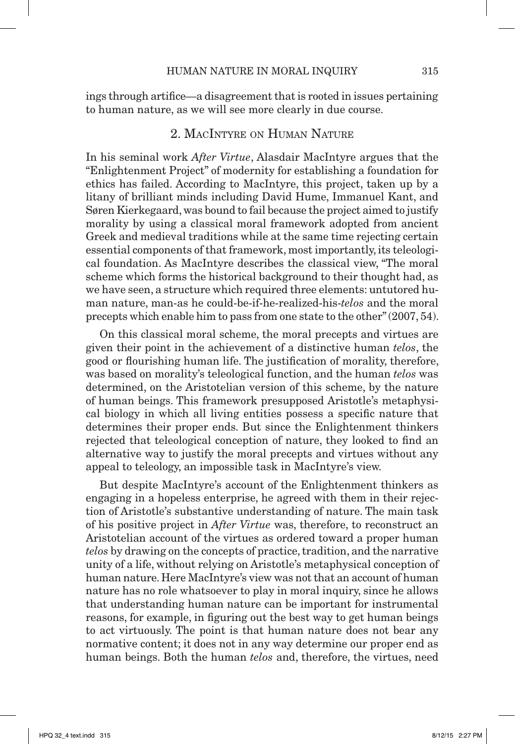ings through artifice—a disagreement that is rooted in issues pertaining to human nature, as we will see more clearly in due course.

## 2. MacIntyre on Human Nature

In his seminal work *After Virtue*, Alasdair MacIntyre argues that the "Enlightenment Project" of modernity for establishing a foundation for ethics has failed. According to MacIntyre, this project, taken up by a litany of brilliant minds including David Hume, Immanuel Kant, and Søren Kierkegaard, was bound to fail because the project aimed to justify morality by using a classical moral framework adopted from ancient Greek and medieval traditions while at the same time rejecting certain essential components of that framework, most importantly, its teleological foundation. As MacIntyre describes the classical view, "The moral scheme which forms the historical background to their thought had, as we have seen, a structure which required three elements: untutored human nature, man-as he could-be-if-he-realized-his-*telos* and the moral precepts which enable him to pass from one state to the other" (2007, 54).

On this classical moral scheme, the moral precepts and virtues are given their point in the achievement of a distinctive human *telos*, the good or flourishing human life. The justification of morality, therefore, was based on morality's teleological function, and the human *telos* was determined, on the Aristotelian version of this scheme, by the nature of human beings. This framework presupposed Aristotle's metaphysical biology in which all living entities possess a specific nature that determines their proper ends. But since the Enlightenment thinkers rejected that teleological conception of nature, they looked to find an alternative way to justify the moral precepts and virtues without any appeal to teleology, an impossible task in MacIntyre's view.

But despite MacIntyre's account of the Enlightenment thinkers as engaging in a hopeless enterprise, he agreed with them in their rejection of Aristotle's substantive understanding of nature. The main task of his positive project in *After Virtue* was, therefore, to reconstruct an Aristotelian account of the virtues as ordered toward a proper human *telos* by drawing on the concepts of practice, tradition, and the narrative unity of a life, without relying on Aristotle's metaphysical conception of human nature. Here MacIntyre's view was not that an account of human nature has no role whatsoever to play in moral inquiry, since he allows that understanding human nature can be important for instrumental reasons, for example, in figuring out the best way to get human beings to act virtuously. The point is that human nature does not bear any normative content; it does not in any way determine our proper end as human beings. Both the human *telos* and, therefore, the virtues, need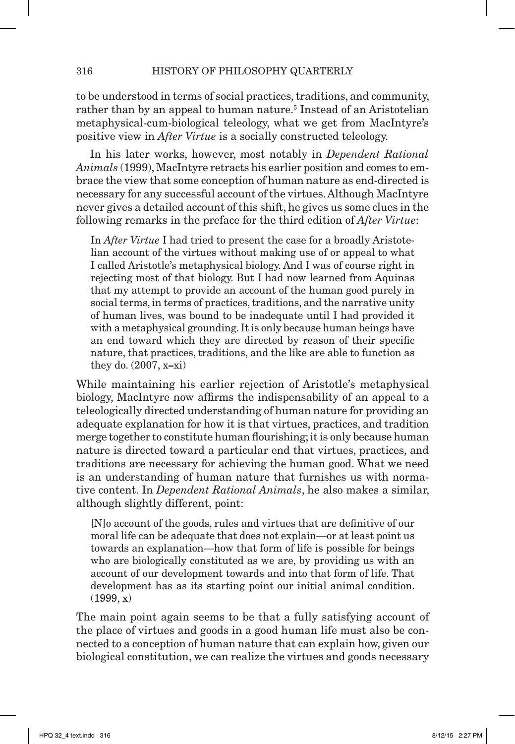to be understood in terms of social practices, traditions, and community, rather than by an appeal to human nature.<sup>5</sup> Instead of an Aristotelian metaphysical-cum-biological teleology, what we get from MacIntyre's positive view in *After Virtue* is a socially constructed teleology.

In his later works, however, most notably in *Dependent Rational Animals* (1999), MacIntyre retracts his earlier position and comes to embrace the view that some conception of human nature as end-directed is necessary for any successful account of the virtues. Although MacIntyre never gives a detailed account of this shift, he gives us some clues in the following remarks in the preface for the third edition of *After Virtue*:

In *After Virtue* I had tried to present the case for a broadly Aristotelian account of the virtues without making use of or appeal to what I called Aristotle's metaphysical biology. And I was of course right in rejecting most of that biology. But I had now learned from Aquinas that my attempt to provide an account of the human good purely in social terms, in terms of practices, traditions, and the narrative unity of human lives, was bound to be inadequate until I had provided it with a metaphysical grounding. It is only because human beings have an end toward which they are directed by reason of their specific nature, that practices, traditions, and the like are able to function as they do. (2007, x**–**xi)

While maintaining his earlier rejection of Aristotle's metaphysical biology, MacIntyre now affirms the indispensability of an appeal to a teleologically directed understanding of human nature for providing an adequate explanation for how it is that virtues, practices, and tradition merge together to constitute human flourishing; it is only because human nature is directed toward a particular end that virtues, practices, and traditions are necessary for achieving the human good. What we need is an understanding of human nature that furnishes us with normative content. In *Dependent Rational Animals*, he also makes a similar, although slightly different, point:

[N]o account of the goods, rules and virtues that are definitive of our moral life can be adequate that does not explain—or at least point us towards an explanation—how that form of life is possible for beings who are biologically constituted as we are, by providing us with an account of our development towards and into that form of life. That development has as its starting point our initial animal condition.  $(1999, x)$ 

The main point again seems to be that a fully satisfying account of the place of virtues and goods in a good human life must also be connected to a conception of human nature that can explain how, given our biological constitution, we can realize the virtues and goods necessary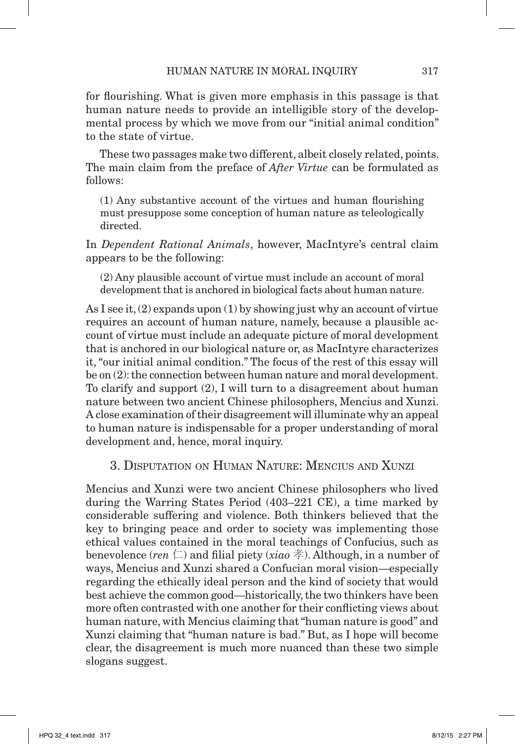for flourishing. What is given more emphasis in this passage is that human nature needs to provide an intelligible story of the developmental process by which we move from our "initial animal condition" to the state of virtue.

These two passages make two different, albeit closely related, points. The main claim from the preface of *After Virtue* can be formulated as follows:

(1) Any substantive account of the virtues and human flourishing must presuppose some conception of human nature as teleologically directed.

In *Dependent Rational Animals*, however, MacIntyre's central claim appears to be the following:

(2) Any plausible account of virtue must include an account of moral development that is anchored in biological facts about human nature.

As I see it, (2) expands upon (1) by showing just why an account of virtue requires an account of human nature, namely, because a plausible account of virtue must include an adequate picture of moral development that is anchored in our biological nature or, as MacIntyre characterizes it, "our initial animal condition." The focus of the rest of this essay will be on (2): the connection between human nature and moral development. To clarify and support (2), I will turn to a disagreement about human nature between two ancient Chinese philosophers, Mencius and Xunzi. A close examination of their disagreement will illuminate why an appeal to human nature is indispensable for a proper understanding of moral development and, hence, moral inquiry.

3. Disputation on Human Nature: Mencius and Xunzi

Mencius and Xunzi were two ancient Chinese philosophers who lived during the Warring States Period (403–221 CE), a time marked by considerable suffering and violence. Both thinkers believed that the key to bringing peace and order to society was implementing those ethical values contained in the moral teachings of Confucius, such as benevolence (*ren*  $\Box$ ) and filial piety (*xiao*  $\ddot{\Xi}$ ). Although, in a number of ways, Mencius and Xunzi shared a Confucian moral vision—especially regarding the ethically ideal person and the kind of society that would best achieve the common good—historically, the two thinkers have been more often contrasted with one another for their conflicting views about human nature, with Mencius claiming that "human nature is good" and Xunzi claiming that "human nature is bad." But, as I hope will become clear, the disagreement is much more nuanced than these two simple slogans suggest.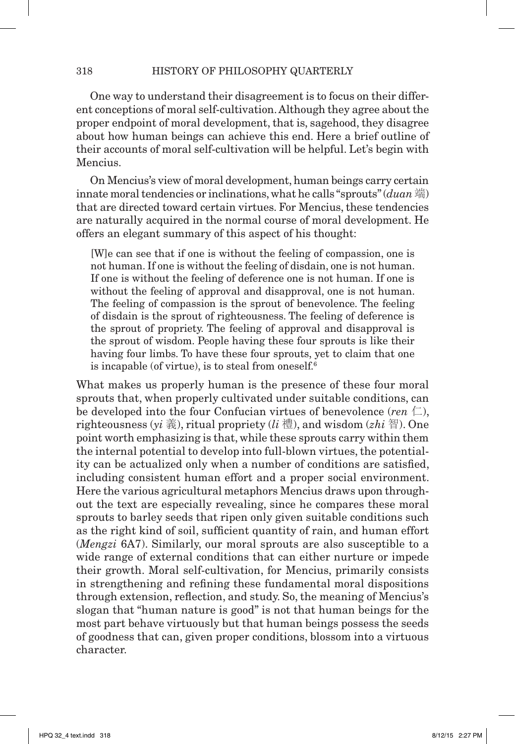One way to understand their disagreement is to focus on their different conceptions of moral self-cultivation. Although they agree about the proper endpoint of moral development, that is, sagehood, they disagree about how human beings can achieve this end. Here a brief outline of their accounts of moral self-cultivation will be helpful. Let's begin with Mencius.

On Mencius's view of moral development, human beings carry certain innate moral tendencies or inclinations, what he calls "sprouts" (*duan* 端) that are directed toward certain virtues. For Mencius, these tendencies are naturally acquired in the normal course of moral development. He offers an elegant summary of this aspect of his thought:

[W]e can see that if one is without the feeling of compassion, one is not human. If one is without the feeling of disdain, one is not human. If one is without the feeling of deference one is not human. If one is without the feeling of approval and disapproval, one is not human. The feeling of compassion is the sprout of benevolence. The feeling of disdain is the sprout of righteousness. The feeling of deference is the sprout of propriety. The feeling of approval and disapproval is the sprout of wisdom. People having these four sprouts is like their having four limbs. To have these four sprouts, yet to claim that one is incapable (of virtue), is to steal from oneself. $6$ 

What makes us properly human is the presence of these four moral sprouts that, when properly cultivated under suitable conditions, can be developed into the four Confucian virtues of benevolence  $(ren  $\Box$ ),$ righteousness (*yi* 義), ritual propriety (*li* 禮), and wisdom (*zhi* 智). One point worth emphasizing is that, while these sprouts carry within them the internal potential to develop into full-blown virtues, the potentiality can be actualized only when a number of conditions are satisfied, including consistent human effort and a proper social environment. Here the various agricultural metaphors Mencius draws upon throughout the text are especially revealing, since he compares these moral sprouts to barley seeds that ripen only given suitable conditions such as the right kind of soil, sufficient quantity of rain, and human effort (*Mengzi* 6A7). Similarly, our moral sprouts are also susceptible to a wide range of external conditions that can either nurture or impede their growth. Moral self-cultivation, for Mencius, primarily consists in strengthening and refining these fundamental moral dispositions through extension, reflection, and study. So, the meaning of Mencius's slogan that "human nature is good" is not that human beings for the most part behave virtuously but that human beings possess the seeds of goodness that can, given proper conditions, blossom into a virtuous character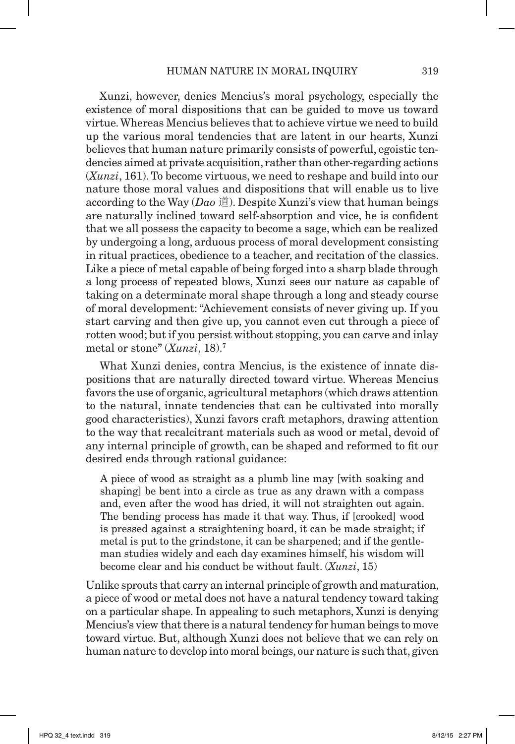Xunzi, however, denies Mencius's moral psychology, especially the existence of moral dispositions that can be guided to move us toward virtue. Whereas Mencius believes that to achieve virtue we need to build up the various moral tendencies that are latent in our hearts, Xunzi believes that human nature primarily consists of powerful, egoistic tendencies aimed at private acquisition, rather than other-regarding actions (*Xunzi*, 161). To become virtuous, we need to reshape and build into our nature those moral values and dispositions that will enable us to live according to the Way (*Dao* 道). Despite Xunzi's view that human beings are naturally inclined toward self-absorption and vice, he is confident that we all possess the capacity to become a sage, which can be realized by undergoing a long, arduous process of moral development consisting in ritual practices, obedience to a teacher, and recitation of the classics. Like a piece of metal capable of being forged into a sharp blade through a long process of repeated blows, Xunzi sees our nature as capable of taking on a determinate moral shape through a long and steady course of moral development: "Achievement consists of never giving up. If you start carving and then give up, you cannot even cut through a piece of rotten wood; but if you persist without stopping, you can carve and inlay metal or stone" (*Xunzi*, 18).7

What Xunzi denies, contra Mencius, is the existence of innate dispositions that are naturally directed toward virtue. Whereas Mencius favors the use of organic, agricultural metaphors (which draws attention to the natural, innate tendencies that can be cultivated into morally good characteristics), Xunzi favors craft metaphors, drawing attention to the way that recalcitrant materials such as wood or metal, devoid of any internal principle of growth, can be shaped and reformed to fit our desired ends through rational guidance:

A piece of wood as straight as a plumb line may [with soaking and shaping] be bent into a circle as true as any drawn with a compass and, even after the wood has dried, it will not straighten out again. The bending process has made it that way. Thus, if [crooked] wood is pressed against a straightening board, it can be made straight; if metal is put to the grindstone, it can be sharpened; and if the gentleman studies widely and each day examines himself, his wisdom will become clear and his conduct be without fault. (*Xunzi*, 15)

Unlike sprouts that carry an internal principle of growth and maturation, a piece of wood or metal does not have a natural tendency toward taking on a particular shape. In appealing to such metaphors, Xunzi is denying Mencius's view that there is a natural tendency for human beings to move toward virtue. But, although Xunzi does not believe that we can rely on human nature to develop into moral beings, our nature is such that, given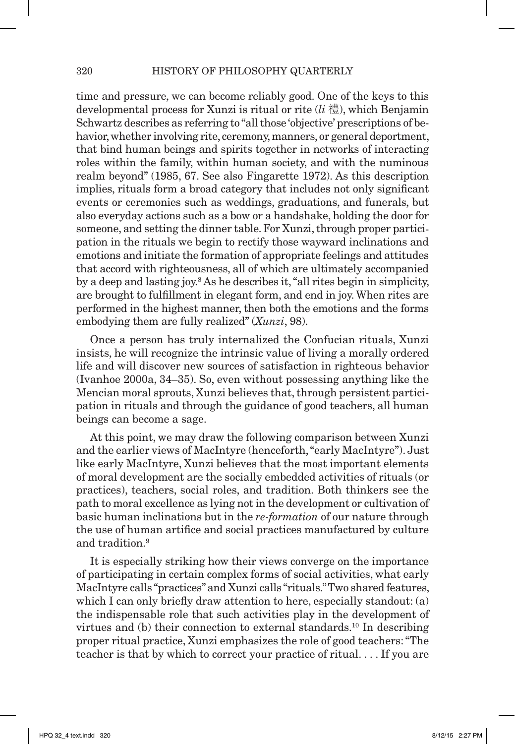time and pressure, we can become reliably good. One of the keys to this developmental process for Xunzi is ritual or rite (*li* 禮), which Benjamin Schwartz describes as referring to "all those 'objective' prescriptions of behavior, whether involving rite, ceremony, manners, or general deportment, that bind human beings and spirits together in networks of interacting roles within the family, within human society, and with the numinous realm beyond" (1985, 67. See also Fingarette 1972). As this description implies, rituals form a broad category that includes not only significant events or ceremonies such as weddings, graduations, and funerals, but also everyday actions such as a bow or a handshake, holding the door for someone, and setting the dinner table. For Xunzi, through proper participation in the rituals we begin to rectify those wayward inclinations and emotions and initiate the formation of appropriate feelings and attitudes that accord with righteousness, all of which are ultimately accompanied by a deep and lasting joy.<sup>8</sup> As he describes it, "all rites begin in simplicity, are brought to fulfillment in elegant form, and end in joy. When rites are performed in the highest manner, then both the emotions and the forms embodying them are fully realized" (*Xunzi*, 98).

Once a person has truly internalized the Confucian rituals, Xunzi insists, he will recognize the intrinsic value of living a morally ordered life and will discover new sources of satisfaction in righteous behavior (Ivanhoe 2000a, 34–35). So, even without possessing anything like the Mencian moral sprouts, Xunzi believes that, through persistent participation in rituals and through the guidance of good teachers, all human beings can become a sage.

At this point, we may draw the following comparison between Xunzi and the earlier views of MacIntyre (henceforth, "early MacIntyre"). Just like early MacIntyre, Xunzi believes that the most important elements of moral development are the socially embedded activities of rituals (or practices), teachers, social roles, and tradition. Both thinkers see the path to moral excellence as lying not in the development or cultivation of basic human inclinations but in the *re-formation* of our nature through the use of human artifice and social practices manufactured by culture and tradition.9

It is especially striking how their views converge on the importance of participating in certain complex forms of social activities, what early MacIntyre calls "practices" and Xunzi calls "rituals." Two shared features, which I can only briefly draw attention to here, especially standout: (a) the indispensable role that such activities play in the development of virtues and  $(b)$  their connection to external standards.<sup>10</sup> In describing proper ritual practice, Xunzi emphasizes the role of good teachers: "The teacher is that by which to correct your practice of ritual. . . . If you are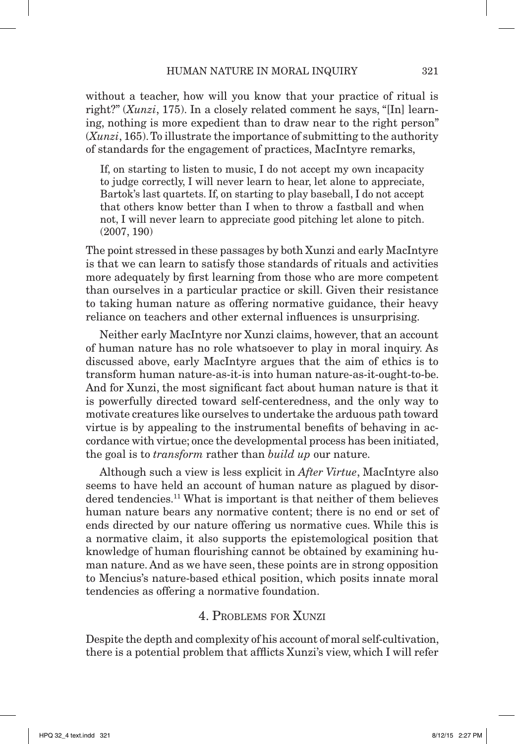without a teacher, how will you know that your practice of ritual is right?" (*Xunzi*, 175). In a closely related comment he says, "[In] learning, nothing is more expedient than to draw near to the right person" (*Xunzi*, 165). To illustrate the importance of submitting to the authority of standards for the engagement of practices, MacIntyre remarks,

If, on starting to listen to music, I do not accept my own incapacity to judge correctly, I will never learn to hear, let alone to appreciate, Bartok's last quartets. If, on starting to play baseball, I do not accept that others know better than I when to throw a fastball and when not, I will never learn to appreciate good pitching let alone to pitch. (2007, 190)

The point stressed in these passages by both Xunzi and early MacIntyre is that we can learn to satisfy those standards of rituals and activities more adequately by first learning from those who are more competent than ourselves in a particular practice or skill. Given their resistance to taking human nature as offering normative guidance, their heavy reliance on teachers and other external influences is unsurprising.

Neither early MacIntyre nor Xunzi claims, however, that an account of human nature has no role whatsoever to play in moral inquiry. As discussed above, early MacIntyre argues that the aim of ethics is to transform human nature-as-it-is into human nature-as-it-ought-to-be. And for Xunzi, the most significant fact about human nature is that it is powerfully directed toward self-centeredness, and the only way to motivate creatures like ourselves to undertake the arduous path toward virtue is by appealing to the instrumental benefits of behaving in accordance with virtue; once the developmental process has been initiated, the goal is to *transform* rather than *build up* our nature.

Although such a view is less explicit in *After Virtue*, MacIntyre also seems to have held an account of human nature as plagued by disordered tendencies.<sup>11</sup> What is important is that neither of them believes human nature bears any normative content; there is no end or set of ends directed by our nature offering us normative cues. While this is a normative claim, it also supports the epistemological position that knowledge of human flourishing cannot be obtained by examining human nature. And as we have seen, these points are in strong opposition to Mencius's nature-based ethical position, which posits innate moral tendencies as offering a normative foundation.

#### 4. Problems for Xunzi

Despite the depth and complexity of his account of moral self-cultivation, there is a potential problem that afflicts Xunzi's view, which I will refer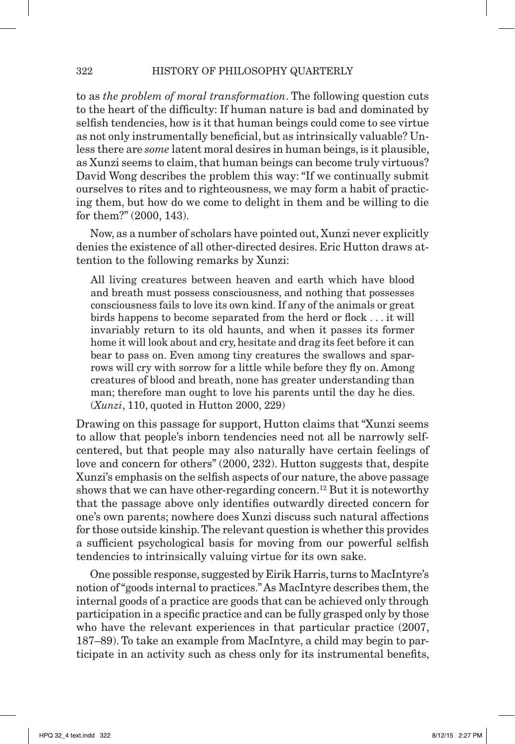to as *the problem of moral transformation*. The following question cuts to the heart of the difficulty: If human nature is bad and dominated by selfish tendencies, how is it that human beings could come to see virtue as not only instrumentally beneficial, but as intrinsically valuable? Unless there are *some* latent moral desires in human beings, is it plausible, as Xunzi seems to claim, that human beings can become truly virtuous? David Wong describes the problem this way: "If we continually submit ourselves to rites and to righteousness, we may form a habit of practicing them, but how do we come to delight in them and be willing to die for them?" (2000, 143).

Now, as a number of scholars have pointed out, Xunzi never explicitly denies the existence of all other-directed desires. Eric Hutton draws attention to the following remarks by Xunzi:

All living creatures between heaven and earth which have blood and breath must possess consciousness, and nothing that possesses consciousness fails to love its own kind. If any of the animals or great birds happens to become separated from the herd or flock . . . it will invariably return to its old haunts, and when it passes its former home it will look about and cry, hesitate and drag its feet before it can bear to pass on. Even among tiny creatures the swallows and sparrows will cry with sorrow for a little while before they fly on. Among creatures of blood and breath, none has greater understanding than man; therefore man ought to love his parents until the day he dies. (*Xunzi*, 110, quoted in Hutton 2000, 229)

Drawing on this passage for support, Hutton claims that "Xunzi seems to allow that people's inborn tendencies need not all be narrowly selfcentered, but that people may also naturally have certain feelings of love and concern for others" (2000, 232). Hutton suggests that, despite Xunzi's emphasis on the selfish aspects of our nature, the above passage shows that we can have other-regarding concern.<sup>12</sup> But it is noteworthy that the passage above only identifies outwardly directed concern for one's own parents; nowhere does Xunzi discuss such natural affections for those outside kinship. The relevant question is whether this provides a sufficient psychological basis for moving from our powerful selfish tendencies to intrinsically valuing virtue for its own sake.

One possible response, suggested by Eirik Harris, turns to MacIntyre's notion of "goods internal to practices." As MacIntyre describes them, the internal goods of a practice are goods that can be achieved only through participation in a specific practice and can be fully grasped only by those who have the relevant experiences in that particular practice  $(2007, 1000)$ 187–89). To take an example from MacIntyre, a child may begin to participate in an activity such as chess only for its instrumental benefits,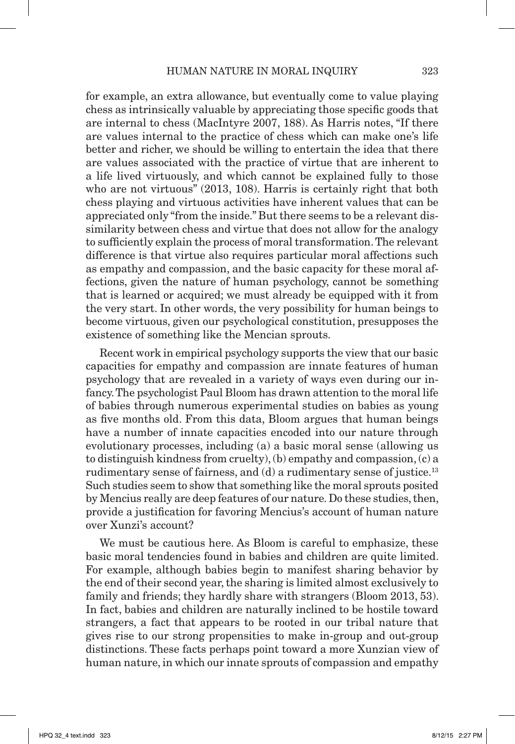for example, an extra allowance, but eventually come to value playing chess as intrinsically valuable by appreciating those specific goods that are internal to chess (MacIntyre 2007, 188). As Harris notes, "If there are values internal to the practice of chess which can make one's life better and richer, we should be willing to entertain the idea that there are values associated with the practice of virtue that are inherent to a life lived virtuously, and which cannot be explained fully to those who are not virtuous" (2013, 108). Harris is certainly right that both chess playing and virtuous activities have inherent values that can be appreciated only "from the inside." But there seems to be a relevant dissimilarity between chess and virtue that does not allow for the analogy to sufficiently explain the process of moral transformation. The relevant difference is that virtue also requires particular moral affections such as empathy and compassion, and the basic capacity for these moral affections, given the nature of human psychology, cannot be something that is learned or acquired; we must already be equipped with it from the very start. In other words, the very possibility for human beings to become virtuous, given our psychological constitution, presupposes the existence of something like the Mencian sprouts.

 Recent work in empirical psychology supports the view that our basic capacities for empathy and compassion are innate features of human psychology that are revealed in a variety of ways even during our infancy. The psychologist Paul Bloom has drawn attention to the moral life of babies through numerous experimental studies on babies as young as five months old. From this data, Bloom argues that human beings have a number of innate capacities encoded into our nature through evolutionary processes, including (a) a basic moral sense (allowing us to distinguish kindness from cruelty), (b) empathy and compassion, (c) a rudimentary sense of fairness, and  $(d)$  a rudimentary sense of justice.<sup>13</sup> Such studies seem to show that something like the moral sprouts posited by Mencius really are deep features of our nature. Do these studies, then, provide a justification for favoring Mencius's account of human nature over Xunzi's account?

We must be cautious here. As Bloom is careful to emphasize, these basic moral tendencies found in babies and children are quite limited. For example, although babies begin to manifest sharing behavior by the end of their second year, the sharing is limited almost exclusively to family and friends; they hardly share with strangers (Bloom 2013, 53). In fact, babies and children are naturally inclined to be hostile toward strangers, a fact that appears to be rooted in our tribal nature that gives rise to our strong propensities to make in-group and out-group distinctions. These facts perhaps point toward a more Xunzian view of human nature, in which our innate sprouts of compassion and empathy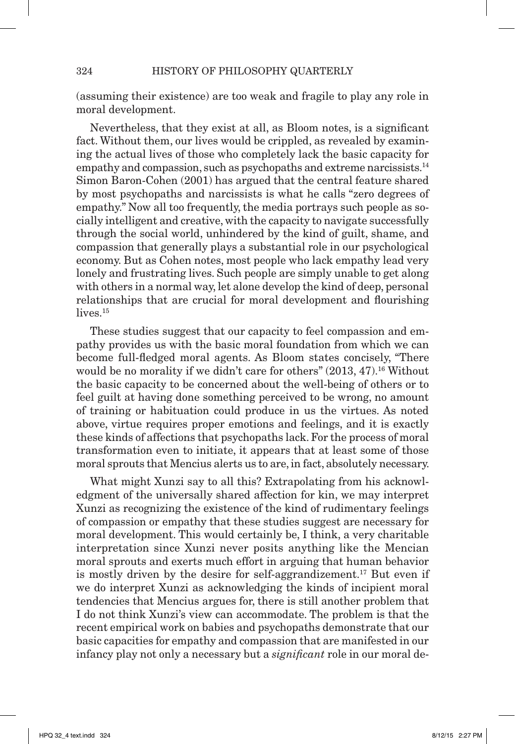(assuming their existence) are too weak and fragile to play any role in moral development.

Nevertheless, that they exist at all, as Bloom notes, is a significant fact. Without them, our lives would be crippled, as revealed by examining the actual lives of those who completely lack the basic capacity for empathy and compassion, such as psychopaths and extreme narcissists.<sup>14</sup> Simon Baron-Cohen (2001) has argued that the central feature shared by most psychopaths and narcissists is what he calls "zero degrees of empathy." Now all too frequently, the media portrays such people as socially intelligent and creative, with the capacity to navigate successfully through the social world, unhindered by the kind of guilt, shame, and compassion that generally plays a substantial role in our psychological economy. But as Cohen notes, most people who lack empathy lead very lonely and frustrating lives. Such people are simply unable to get along with others in a normal way, let alone develop the kind of deep, personal relationships that are crucial for moral development and flourishing lives.<sup>15</sup>

These studies suggest that our capacity to feel compassion and empathy provides us with the basic moral foundation from which we can become full-fledged moral agents. As Bloom states concisely, "There would be no morality if we didn't care for others" (2013, 47).<sup>16</sup> Without the basic capacity to be concerned about the well-being of others or to feel guilt at having done something perceived to be wrong, no amount of training or habituation could produce in us the virtues. As noted above, virtue requires proper emotions and feelings, and it is exactly these kinds of affections that psychopaths lack. For the process of moral transformation even to initiate, it appears that at least some of those moral sprouts that Mencius alerts us to are, in fact, absolutely necessary.

What might Xunzi say to all this? Extrapolating from his acknowledgment of the universally shared affection for kin, we may interpret Xunzi as recognizing the existence of the kind of rudimentary feelings of compassion or empathy that these studies suggest are necessary for moral development. This would certainly be, I think, a very charitable interpretation since Xunzi never posits anything like the Mencian moral sprouts and exerts much effort in arguing that human behavior is mostly driven by the desire for self-aggrandizement.<sup>17</sup> But even if we do interpret Xunzi as acknowledging the kinds of incipient moral tendencies that Mencius argues for, there is still another problem that I do not think Xunzi's view can accommodate. The problem is that the recent empirical work on babies and psychopaths demonstrate that our basic capacities for empathy and compassion that are manifested in our infancy play not only a necessary but a *significant* role in our moral de-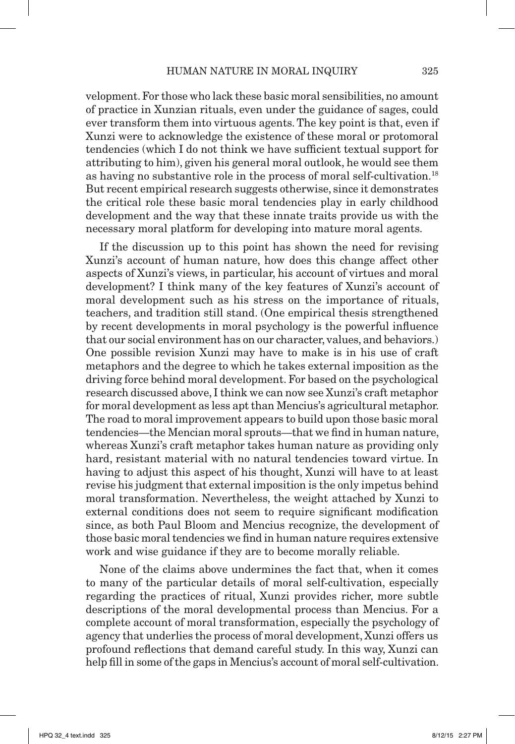velopment. For those who lack these basic moral sensibilities, no amount of practice in Xunzian rituals, even under the guidance of sages, could ever transform them into virtuous agents. The key point is that, even if Xunzi were to acknowledge the existence of these moral or protomoral tendencies (which I do not think we have sufficient textual support for attributing to him), given his general moral outlook, he would see them as having no substantive role in the process of moral self-cultivation.18 But recent empirical research suggests otherwise, since it demonstrates the critical role these basic moral tendencies play in early childhood development and the way that these innate traits provide us with the necessary moral platform for developing into mature moral agents.

If the discussion up to this point has shown the need for revising Xunzi's account of human nature, how does this change affect other aspects of Xunzi's views, in particular, his account of virtues and moral development? I think many of the key features of Xunzi's account of moral development such as his stress on the importance of rituals, teachers, and tradition still stand. (One empirical thesis strengthened by recent developments in moral psychology is the powerful influence that our social environment has on our character, values, and behaviors.) One possible revision Xunzi may have to make is in his use of craft metaphors and the degree to which he takes external imposition as the driving force behind moral development. For based on the psychological research discussed above, I think we can now see Xunzi's craft metaphor for moral development as less apt than Mencius's agricultural metaphor. The road to moral improvement appears to build upon those basic moral tendencies—the Mencian moral sprouts—that we find in human nature, whereas Xunzi's craft metaphor takes human nature as providing only hard, resistant material with no natural tendencies toward virtue. In having to adjust this aspect of his thought, Xunzi will have to at least revise his judgment that external imposition is the only impetus behind moral transformation. Nevertheless, the weight attached by Xunzi to external conditions does not seem to require significant modification since, as both Paul Bloom and Mencius recognize, the development of those basic moral tendencies we find in human nature requires extensive work and wise guidance if they are to become morally reliable.

None of the claims above undermines the fact that, when it comes to many of the particular details of moral self-cultivation, especially regarding the practices of ritual, Xunzi provides richer, more subtle descriptions of the moral developmental process than Mencius. For a complete account of moral transformation, especially the psychology of agency that underlies the process of moral development, Xunzi offers us profound reflections that demand careful study. In this way, Xunzi can help fill in some of the gaps in Mencius's account of moral self-cultivation.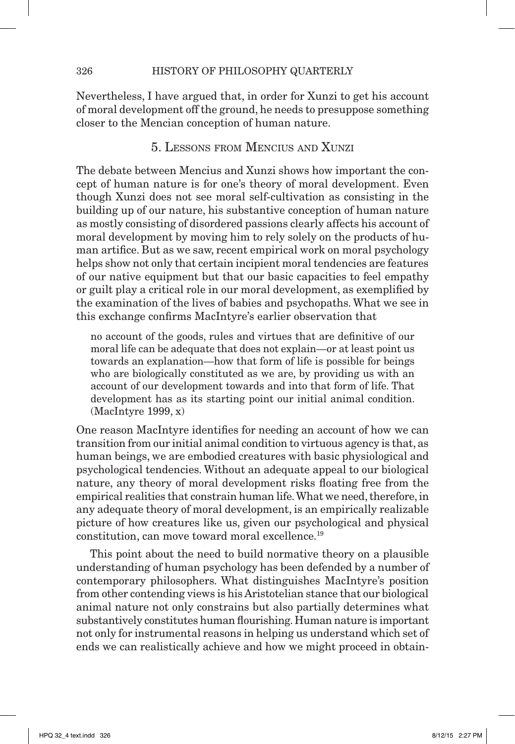Nevertheless, I have argued that, in order for Xunzi to get his account of moral development off the ground, he needs to presuppose something closer to the Mencian conception of human nature.

## 5. Lessons from Mencius and Xunzi

The debate between Mencius and Xunzi shows how important the concept of human nature is for one's theory of moral development. Even though Xunzi does not see moral self-cultivation as consisting in the building up of our nature, his substantive conception of human nature as mostly consisting of disordered passions clearly affects his account of moral development by moving him to rely solely on the products of human artifice. But as we saw, recent empirical work on moral psychology helps show not only that certain incipient moral tendencies are features of our native equipment but that our basic capacities to feel empathy or guilt play a critical role in our moral development, as exemplified by the examination of the lives of babies and psychopaths. What we see in this exchange confirms MacIntyre's earlier observation that

no account of the goods, rules and virtues that are definitive of our moral life can be adequate that does not explain—or at least point us towards an explanation—how that form of life is possible for beings who are biologically constituted as we are, by providing us with an account of our development towards and into that form of life. That development has as its starting point our initial animal condition. (MacIntyre 1999, x)

One reason MacIntyre identifies for needing an account of how we can transition from our initial animal condition to virtuous agency is that, as human beings, we are embodied creatures with basic physiological and psychological tendencies. Without an adequate appeal to our biological nature, any theory of moral development risks floating free from the empirical realities that constrain human life. What we need, therefore, in any adequate theory of moral development, is an empirically realizable picture of how creatures like us, given our psychological and physical constitution, can move toward moral excellence.19

This point about the need to build normative theory on a plausible understanding of human psychology has been defended by a number of contemporary philosophers. What distinguishes MacIntyre's position from other contending views is his Aristotelian stance that our biological animal nature not only constrains but also partially determines what substantively constitutes human flourishing. Human nature is important not only for instrumental reasons in helping us understand which set of ends we can realistically achieve and how we might proceed in obtain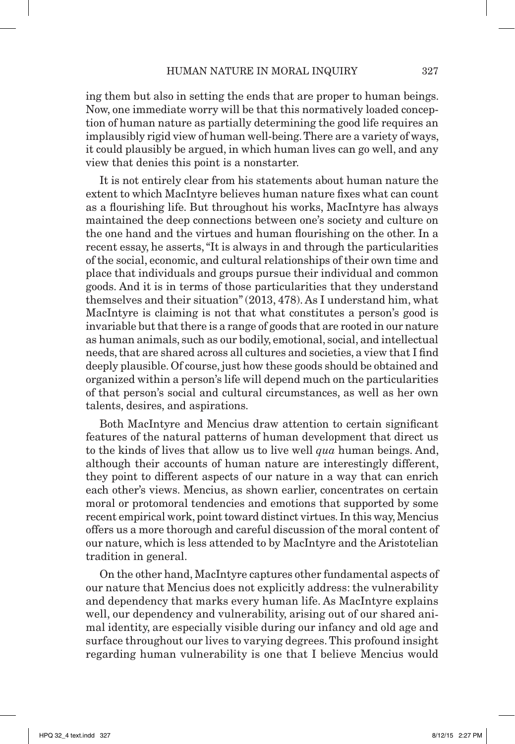ing them but also in setting the ends that are proper to human beings. Now, one immediate worry will be that this normatively loaded conception of human nature as partially determining the good life requires an implausibly rigid view of human well-being. There are a variety of ways, it could plausibly be argued, in which human lives can go well, and any view that denies this point is a nonstarter.

It is not entirely clear from his statements about human nature the extent to which MacIntyre believes human nature fixes what can count as a flourishing life. But throughout his works, MacIntyre has always maintained the deep connections between one's society and culture on the one hand and the virtues and human flourishing on the other. In a recent essay, he asserts, "It is always in and through the particularities of the social, economic, and cultural relationships of their own time and place that individuals and groups pursue their individual and common goods. And it is in terms of those particularities that they understand themselves and their situation" (2013, 478). As I understand him, what MacIntyre is claiming is not that what constitutes a person's good is invariable but that there is a range of goods that are rooted in our nature as human animals, such as our bodily, emotional, social, and intellectual needs, that are shared across all cultures and societies, a view that I find deeply plausible. Of course, just how these goods should be obtained and organized within a person's life will depend much on the particularities of that person's social and cultural circumstances, as well as her own talents, desires, and aspirations.

Both MacIntyre and Mencius draw attention to certain significant features of the natural patterns of human development that direct us to the kinds of lives that allow us to live well *qua* human beings. And, although their accounts of human nature are interestingly different, they point to different aspects of our nature in a way that can enrich each other's views. Mencius, as shown earlier, concentrates on certain moral or protomoral tendencies and emotions that supported by some recent empirical work, point toward distinct virtues. In this way, Mencius offers us a more thorough and careful discussion of the moral content of our nature, which is less attended to by MacIntyre and the Aristotelian tradition in general.

On the other hand, MacIntyre captures other fundamental aspects of our nature that Mencius does not explicitly address: the vulnerability and dependency that marks every human life. As MacIntyre explains well, our dependency and vulnerability, arising out of our shared animal identity, are especially visible during our infancy and old age and surface throughout our lives to varying degrees. This profound insight regarding human vulnerability is one that I believe Mencius would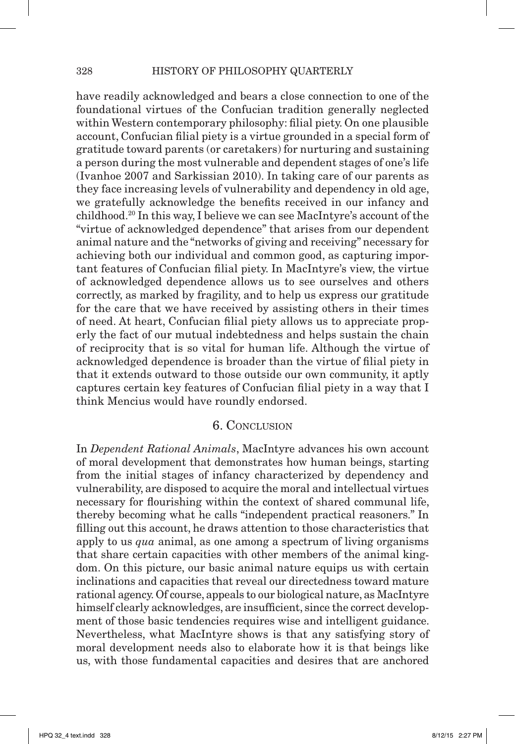have readily acknowledged and bears a close connection to one of the foundational virtues of the Confucian tradition generally neglected within Western contemporary philosophy: filial piety. On one plausible account, Confucian filial piety is a virtue grounded in a special form of gratitude toward parents (or caretakers) for nurturing and sustaining a person during the most vulnerable and dependent stages of one's life (Ivanhoe 2007 and Sarkissian 2010). In taking care of our parents as they face increasing levels of vulnerability and dependency in old age, we gratefully acknowledge the benefits received in our infancy and childhood.20 In this way, I believe we can see MacIntyre's account of the "virtue of acknowledged dependence" that arises from our dependent animal nature and the "networks of giving and receiving" necessary for achieving both our individual and common good, as capturing important features of Confucian filial piety. In MacIntyre's view, the virtue of acknowledged dependence allows us to see ourselves and others correctly, as marked by fragility, and to help us express our gratitude for the care that we have received by assisting others in their times of need. At heart, Confucian filial piety allows us to appreciate properly the fact of our mutual indebtedness and helps sustain the chain of reciprocity that is so vital for human life. Although the virtue of acknowledged dependence is broader than the virtue of filial piety in that it extends outward to those outside our own community, it aptly captures certain key features of Confucian filial piety in a way that I think Mencius would have roundly endorsed.

#### 6. Conclusion

In *Dependent Rational Animals*, MacIntyre advances his own account of moral development that demonstrates how human beings, starting from the initial stages of infancy characterized by dependency and vulnerability, are disposed to acquire the moral and intellectual virtues necessary for flourishing within the context of shared communal life, thereby becoming what he calls "independent practical reasoners." In filling out this account, he draws attention to those characteristics that apply to us *qua* animal, as one among a spectrum of living organisms that share certain capacities with other members of the animal kingdom. On this picture, our basic animal nature equips us with certain inclinations and capacities that reveal our directedness toward mature rational agency. Of course, appeals to our biological nature, as MacIntyre himself clearly acknowledges, are insufficient, since the correct development of those basic tendencies requires wise and intelligent guidance. Nevertheless, what MacIntyre shows is that any satisfying story of moral development needs also to elaborate how it is that beings like us, with those fundamental capacities and desires that are anchored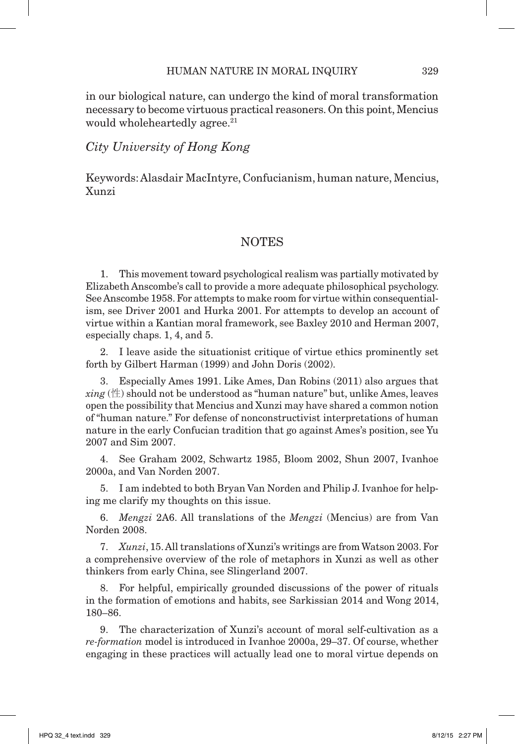in our biological nature, can undergo the kind of moral transformation necessary to become virtuous practical reasoners. On this point, Mencius would wholeheartedly agree.<sup>21</sup>

### *City University of Hong Kong*

Keywords: Alasdair MacIntyre, Confucianism, human nature, Mencius, Xunzi

## NOTES

1. This movement toward psychological realism was partially motivated by Elizabeth Anscombe's call to provide a more adequate philosophical psychology. See Anscombe 1958. For attempts to make room for virtue within consequentialism, see Driver 2001 and Hurka 2001. For attempts to develop an account of virtue within a Kantian moral framework, see Baxley 2010 and Herman 2007, especially chaps. 1, 4, and 5.

2. I leave aside the situationist critique of virtue ethics prominently set forth by Gilbert Harman (1999) and John Doris (2002).

3. Especially Ames 1991. Like Ames, Dan Robins (2011) also argues that  $xing$  ( $\#$ ) should not be understood as "human nature" but, unlike Ames, leaves open the possibility that Mencius and Xunzi may have shared a common notion of "human nature." For defense of nonconstructivist interpretations of human nature in the early Confucian tradition that go against Ames's position, see Yu 2007 and Sim 2007.

4. See Graham 2002, Schwartz 1985, Bloom 2002, Shun 2007, Ivanhoe 2000a, and Van Norden 2007.

5. I am indebted to both Bryan Van Norden and Philip J. Ivanhoe for helping me clarify my thoughts on this issue.

6. *Mengzi* 2A6. All translations of the *Mengzi* (Mencius) are from Van Norden 2008.

7. *Xunzi*, 15. All translations of Xunzi's writings are from Watson 2003. For a comprehensive overview of the role of metaphors in Xunzi as well as other thinkers from early China, see Slingerland 2007.

8. For helpful, empirically grounded discussions of the power of rituals in the formation of emotions and habits, see Sarkissian 2014 and Wong 2014, 180–86.

9. The characterization of Xunzi's account of moral self-cultivation as a *re-formation* model is introduced in Ivanhoe 2000a, 29–37. Of course, whether engaging in these practices will actually lead one to moral virtue depends on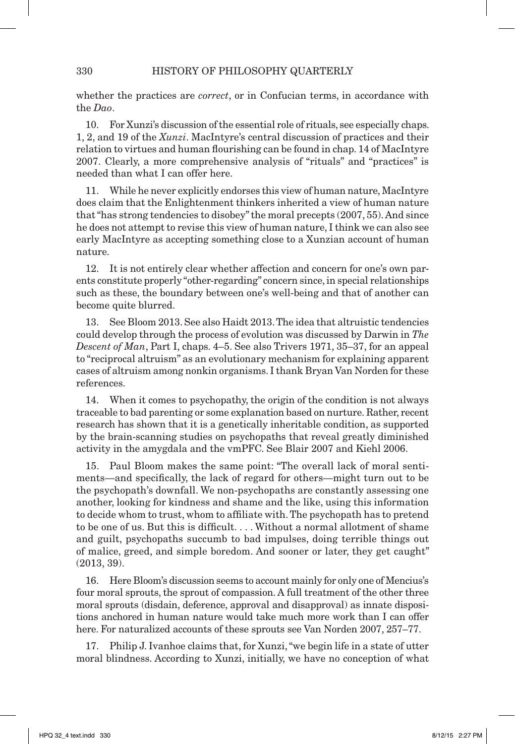whether the practices are *correct*, or in Confucian terms, in accordance with the *Dao*.

10. For Xunzi's discussion of the essential role of rituals, see especially chaps. 1, 2, and 19 of the *Xunzi*. MacIntyre's central discussion of practices and their relation to virtues and human flourishing can be found in chap. 14 of MacIntyre 2007. Clearly, a more comprehensive analysis of "rituals" and "practices" is needed than what I can offer here.

11. While he never explicitly endorses this view of human nature, MacIntyre does claim that the Enlightenment thinkers inherited a view of human nature that "has strong tendencies to disobey" the moral precepts (2007, 55). And since he does not attempt to revise this view of human nature, I think we can also see early MacIntyre as accepting something close to a Xunzian account of human nature.

12. It is not entirely clear whether affection and concern for one's own parents constitute properly "other-regarding" concern since, in special relationships such as these, the boundary between one's well-being and that of another can become quite blurred.

13. See Bloom 2013. See also Haidt 2013. The idea that altruistic tendencies could develop through the process of evolution was discussed by Darwin in *The Descent of Man*, Part I, chaps. 4–5. See also Trivers 1971, 35–37, for an appeal to "reciprocal altruism" as an evolutionary mechanism for explaining apparent cases of altruism among nonkin organisms. I thank Bryan Van Norden for these references.

14. When it comes to psychopathy, the origin of the condition is not always traceable to bad parenting or some explanation based on nurture. Rather, recent research has shown that it is a genetically inheritable condition, as supported by the brain-scanning studies on psychopaths that reveal greatly diminished activity in the amygdala and the vmPFC. See Blair 2007 and Kiehl 2006.

15. Paul Bloom makes the same point: "The overall lack of moral sentiments—and specifically, the lack of regard for others—might turn out to be the psychopath's downfall. We non-psychopaths are constantly assessing one another, looking for kindness and shame and the like, using this information to decide whom to trust, whom to affiliate with. The psychopath has to pretend to be one of us. But this is difficult. . . . Without a normal allotment of shame and guilt, psychopaths succumb to bad impulses, doing terrible things out of malice, greed, and simple boredom. And sooner or later, they get caught" (2013, 39).

16. Here Bloom's discussion seems to account mainly for only one of Mencius's four moral sprouts, the sprout of compassion. A full treatment of the other three moral sprouts (disdain, deference, approval and disapproval) as innate dispositions anchored in human nature would take much more work than I can offer here. For naturalized accounts of these sprouts see Van Norden 2007, 257–77.

17. Philip J. Ivanhoe claims that, for Xunzi, "we begin life in a state of utter moral blindness. According to Xunzi, initially, we have no conception of what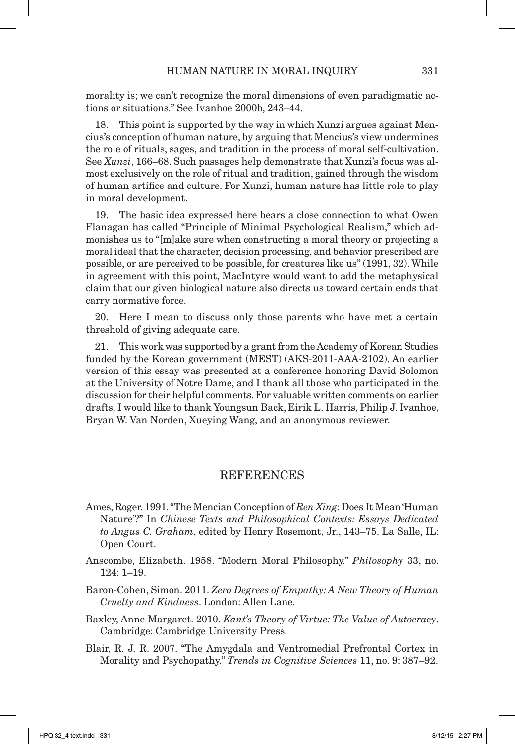morality is; we can't recognize the moral dimensions of even paradigmatic actions or situations." See Ivanhoe 2000b, 243–44.

18. This point is supported by the way in which Xunzi argues against Mencius's conception of human nature, by arguing that Mencius's view undermines the role of rituals, sages, and tradition in the process of moral self-cultivation. See *Xunzi*, 166–68. Such passages help demonstrate that Xunzi's focus was almost exclusively on the role of ritual and tradition, gained through the wisdom of human artifice and culture. For Xunzi, human nature has little role to play in moral development.

19. The basic idea expressed here bears a close connection to what Owen Flanagan has called "Principle of Minimal Psychological Realism," which admonishes us to "[m]ake sure when constructing a moral theory or projecting a moral ideal that the character, decision processing, and behavior prescribed are possible, or are perceived to be possible, for creatures like us" (1991, 32). While in agreement with this point, MacIntyre would want to add the metaphysical claim that our given biological nature also directs us toward certain ends that carry normative force.

20. Here I mean to discuss only those parents who have met a certain threshold of giving adequate care.

21. This work was supported by a grant from the Academy of Korean Studies funded by the Korean government (MEST) (AKS-2011-AAA-2102). An earlier version of this essay was presented at a conference honoring David Solomon at the University of Notre Dame, and I thank all those who participated in the discussion for their helpful comments. For valuable written comments on earlier drafts, I would like to thank Youngsun Back, Eirik L. Harris, Philip J. Ivanhoe, Bryan W. Van Norden, Xueying Wang, and an anonymous reviewer.

#### **REFERENCES**

- Ames, Roger. 1991. "The Mencian Conception of *Ren Xing*: Does It Mean 'Human Nature'?" In *Chinese Texts and Philosophical Contexts: Essays Dedicated to Angus C. Graham*, edited by Henry Rosemont, Jr., 143–75. La Salle, IL: Open Court.
- Anscombe, Elizabeth. 1958. "Modern Moral Philosophy." *Philosophy* 33, no. 124: 1–19.
- Baron-Cohen, Simon. 2011. *Zero Degrees of Empathy: A New Theory of Human Cruelty and Kindness*. London: Allen Lane.
- Baxley, Anne Margaret. 2010. *Kant's Theory of Virtue: The Value of Autocracy*. Cambridge: Cambridge University Press.
- Blair, R. J. R. 2007. "The Amygdala and Ventromedial Prefrontal Cortex in Morality and Psychopathy." *Trends in Cognitive Sciences* 11, no. 9: 387–92.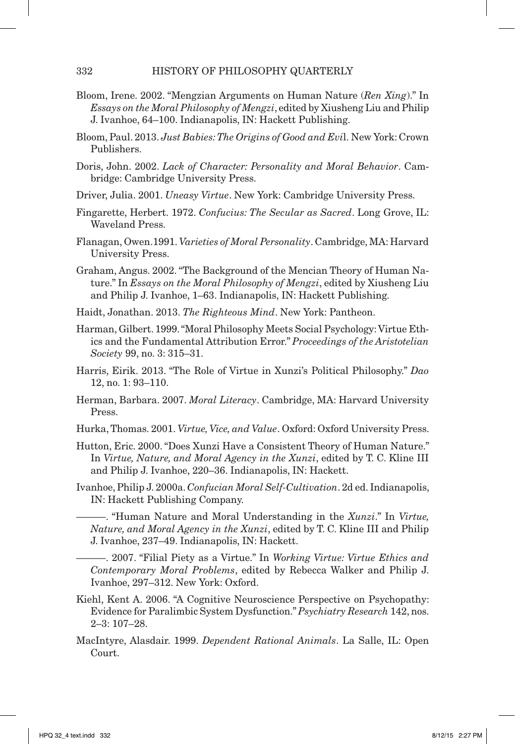- Bloom, Irene. 2002. "Mengzian Arguments on Human Nature (*Ren Xing*)." In *Essays on the Moral Philosophy of Mengzi*, edited by Xiusheng Liu and Philip J. Ivanhoe, 64–100. Indianapolis, IN: Hackett Publishing.
- Bloom, Paul. 2013. *Just Babies: The Origins of Good and Evi*l. New York: Crown Publishers.
- Doris, John. 2002. *Lack of Character: Personality and Moral Behavior*. Cambridge: Cambridge University Press.
- Driver, Julia. 2001. *Uneasy Virtue*. New York: Cambridge University Press.
- Fingarette, Herbert. 1972. *Confucius: The Secular as Sacred*. Long Grove, IL: Waveland Press.
- Flanagan, Owen.1991. *Varieties of Moral Personality*. Cambridge, MA: Harvard University Press.
- Graham, Angus. 2002. "The Background of the Mencian Theory of Human Nature." In *Essays on the Moral Philosophy of Mengzi*, edited by Xiusheng Liu and Philip J. Ivanhoe, 1–63. Indianapolis, IN: Hackett Publishing.
- Haidt, Jonathan. 2013. *The Righteous Mind*. New York: Pantheon.
- Harman, Gilbert. 1999. "Moral Philosophy Meets Social Psychology: Virtue Ethics and the Fundamental Attribution Error." *Proceedings of the Aristotelian Society* 99, no. 3: 315–31.
- Harris, Eirik. 2013. "The Role of Virtue in Xunzi's Political Philosophy." *Dao* 12, no. 1: 93–110.
- Herman, Barbara. 2007. *Moral Literacy*. Cambridge, MA: Harvard University Press.
- Hurka, Thomas. 2001. *Virtue, Vice, and Value*. Oxford: Oxford University Press.
- Hutton, Eric. 2000. "Does Xunzi Have a Consistent Theory of Human Nature." In *Virtue, Nature, and Moral Agency in the Xunzi*, edited by T. C. Kline III and Philip J. Ivanhoe, 220–36. Indianapolis, IN: Hackett.
- Ivanhoe, Philip J. 2000a. *Confucian Moral Self-Cultivation*. 2d ed. Indianapolis, IN: Hackett Publishing Company.
	- ———. "Human Nature and Moral Understanding in the *Xunzi*." In *Virtue, Nature, and Moral Agency in the Xunzi*, edited by T. C. Kline III and Philip J. Ivanhoe, 237–49. Indianapolis, IN: Hackett.
	- ———. 2007. "Filial Piety as a Virtue." In *Working Virtue: Virtue Ethics and Contemporary Moral Problems*, edited by Rebecca Walker and Philip J. Ivanhoe, 297–312. New York: Oxford.
- Kiehl, Kent A. 2006. "A Cognitive Neuroscience Perspective on Psychopathy: Evidence for Paralimbic System Dysfunction." *Psychiatry Research* 142, nos. 2–3: 107–28.
- MacIntyre, Alasdair. 1999. *Dependent Rational Animals*. La Salle, IL: Open Court.